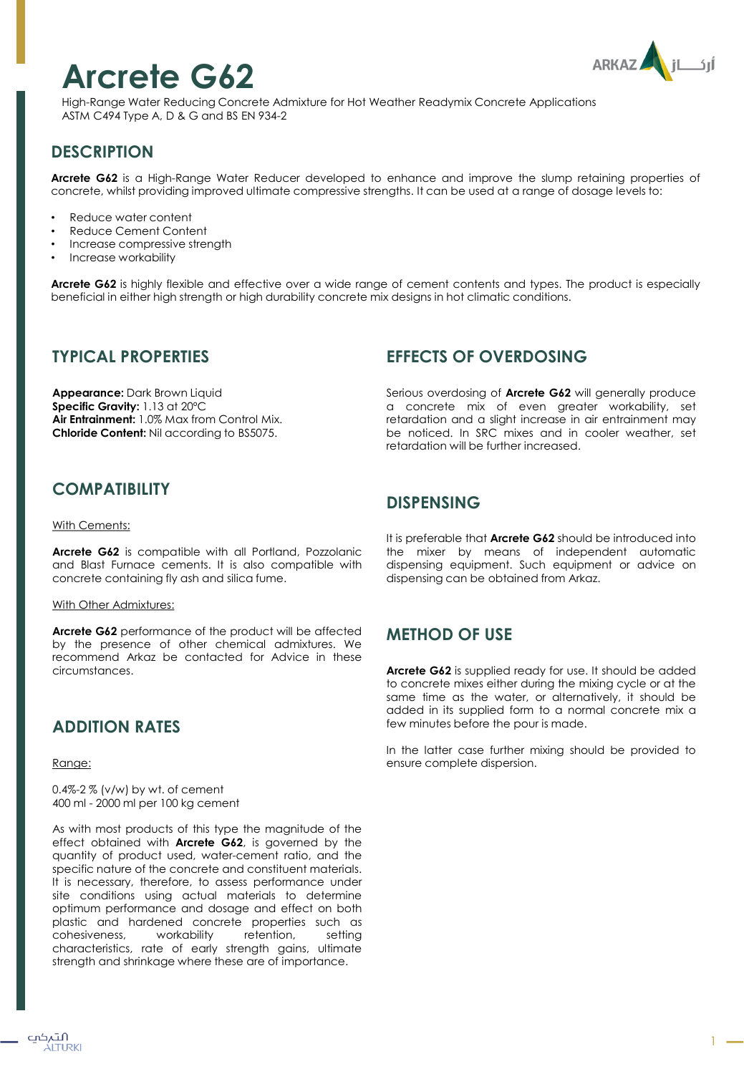# **Arcrete G62**



High-Range Water Reducing Concrete Admixture for Hot Weather Readymix Concrete Applications ASTM C494 Type A, D & G and BS EN 934-2

# **DESCRIPTION**

**Arcrete G62** is a High-Range Water Reducer developed to enhance and improve the slump retaining properties of concrete, whilst providing improved ultimate compressive strengths. It can be used at a range of dosage levels to:

- Reduce water content
- Reduce Cement Content
- Increase compressive strength
- Increase workability

**Arcrete G62** is highly flexible and effective over a wide range of cement contents and types. The product is especially beneficial in either high strength or high durability concrete mix designs in hot climatic conditions.

#### **TYPICAL PROPERTIES**

**Appearance:** Dark Brown Liquid **Specific Gravity:** 1.13 at 20ºC **Air Entrainment:** 1.0% Max from Control Mix. **Chloride Content:** Nil according to BS5075.

## **COMPATIBILITY**

#### With Cements:

**Arcrete G62** is compatible with all Portland, Pozzolanic and Blast Furnace cements. It is also compatible with concrete containing fly ash and silica fume.

#### With Other Admixtures:

**Arcrete G62** performance of the product will be affected by the presence of other chemical admixtures. We recommend Arkaz be contacted for Advice in these circumstances.

## **ADDITION RATES**

Range:

0.4%-2 % (v/w) by wt. of cement 400 ml - 2000 ml per 100 kg cement

As with most products of this type the magnitude of the effect obtained with **Arcrete G62**, is governed by the quantity of product used, water-cement ratio, and the specific nature of the concrete and constituent materials. It is necessary, therefore, to assess performance under site conditions using actual materials to determine optimum performance and dosage and effect on both plastic and hardened concrete properties such as cohesiveness, workability retention, setting characteristics, rate of early strength gains, ultimate strength and shrinkage where these are of importance.

## **EFFECTS OF OVERDOSING**

Serious overdosing of **Arcrete G62** will generally produce a concrete mix of even greater workability, set retardation and a slight increase in air entrainment may be noticed. In SRC mixes and in cooler weather, set retardation will be further increased.

#### **DISPENSING**

It is preferable that **Arcrete G62** should be introduced into the mixer by means of independent automatic dispensing equipment. Such equipment or advice on dispensing can be obtained from Arkaz.

## **METHOD OF USE**

**Arcrete G62** is supplied ready for use. It should be added to concrete mixes either during the mixing cycle or at the same time as the water, or alternatively, it should be added in its supplied form to a normal concrete mix a few minutes before the pour is made.

In the latter case further mixing should be provided to ensure complete dispersion.